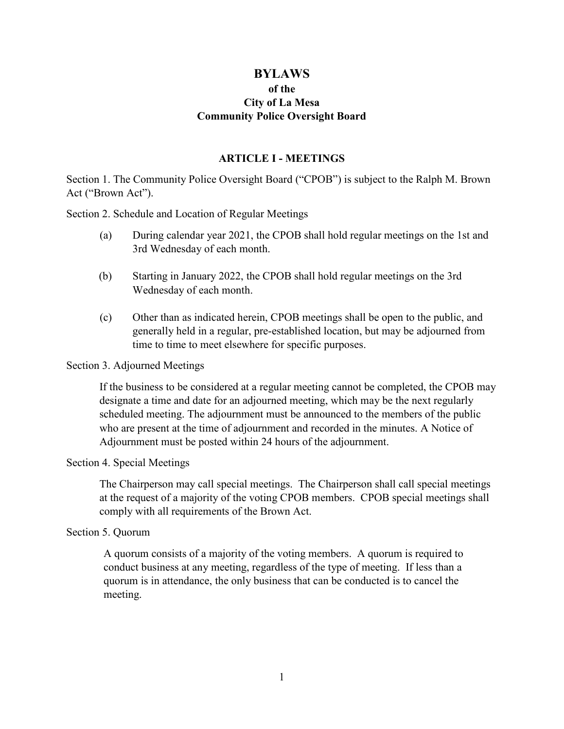# **BYLAWS of the City of La Mesa Community Police Oversight Board**

#### **ARTICLE I - MEETINGS**

Section 1. The Community Police Oversight Board ("CPOB") is subject to the Ralph M. Brown Act ("Brown Act").

Section 2. Schedule and Location of Regular Meetings

- (a) During calendar year 2021, the CPOB shall hold regular meetings on the 1st and 3rd Wednesday of each month.
- (b) Starting in January 2022, the CPOB shall hold regular meetings on the 3rd Wednesday of each month.
- (c) Other than as indicated herein, CPOB meetings shall be open to the public, and generally held in a regular, pre-established location, but may be adjourned from time to time to meet elsewhere for specific purposes.

#### Section 3. Adjourned Meetings

If the business to be considered at a regular meeting cannot be completed, the CPOB may designate a time and date for an adjourned meeting, which may be the next regularly scheduled meeting. The adjournment must be announced to the members of the public who are present at the time of adjournment and recorded in the minutes. A Notice of Adjournment must be posted within 24 hours of the adjournment.

#### Section 4. Special Meetings

The Chairperson may call special meetings. The Chairperson shall call special meetings at the request of a majority of the voting CPOB members. CPOB special meetings shall comply with all requirements of the Brown Act.

#### Section 5. Quorum

A quorum consists of a majority of the voting members. A quorum is required to conduct business at any meeting, regardless of the type of meeting. If less than a quorum is in attendance, the only business that can be conducted is to cancel the meeting.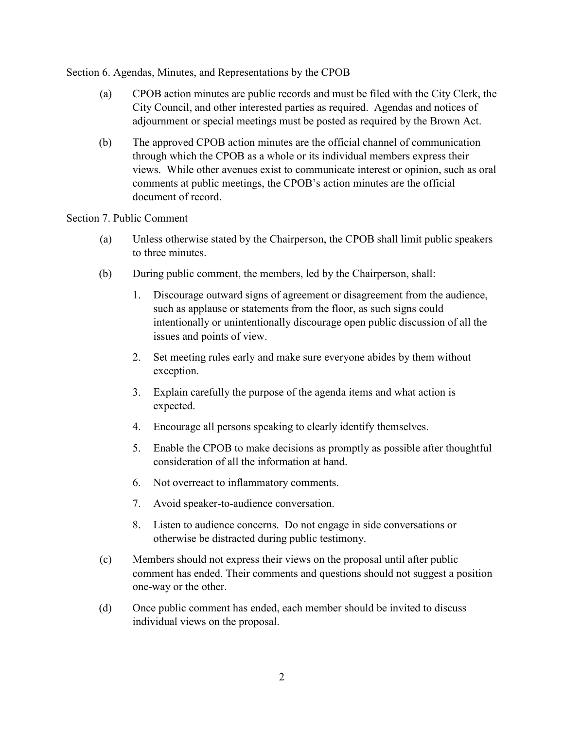Section 6. Agendas, Minutes, and Representations by the CPOB

- (a) CPOB action minutes are public records and must be filed with the City Clerk, the City Council, and other interested parties as required. Agendas and notices of adjournment or special meetings must be posted as required by the Brown Act.
- (b) The approved CPOB action minutes are the official channel of communication through which the CPOB as a whole or its individual members express their views. While other avenues exist to communicate interest or opinion, such as oral comments at public meetings, the CPOB's action minutes are the official document of record.

### Section 7. Public Comment

- (a) Unless otherwise stated by the Chairperson, the CPOB shall limit public speakers to three minutes.
- (b) During public comment, the members, led by the Chairperson, shall:
	- 1. Discourage outward signs of agreement or disagreement from the audience, such as applause or statements from the floor, as such signs could intentionally or unintentionally discourage open public discussion of all the issues and points of view.
	- 2. Set meeting rules early and make sure everyone abides by them without exception.
	- 3. Explain carefully the purpose of the agenda items and what action is expected.
	- 4. Encourage all persons speaking to clearly identify themselves.
	- 5. Enable the CPOB to make decisions as promptly as possible after thoughtful consideration of all the information at hand.
	- 6. Not overreact to inflammatory comments.
	- 7. Avoid speaker-to-audience conversation.
	- 8. Listen to audience concerns. Do not engage in side conversations or otherwise be distracted during public testimony.
- (c) Members should not express their views on the proposal until after public comment has ended. Their comments and questions should not suggest a position one-way or the other.
- (d) Once public comment has ended, each member should be invited to discuss individual views on the proposal.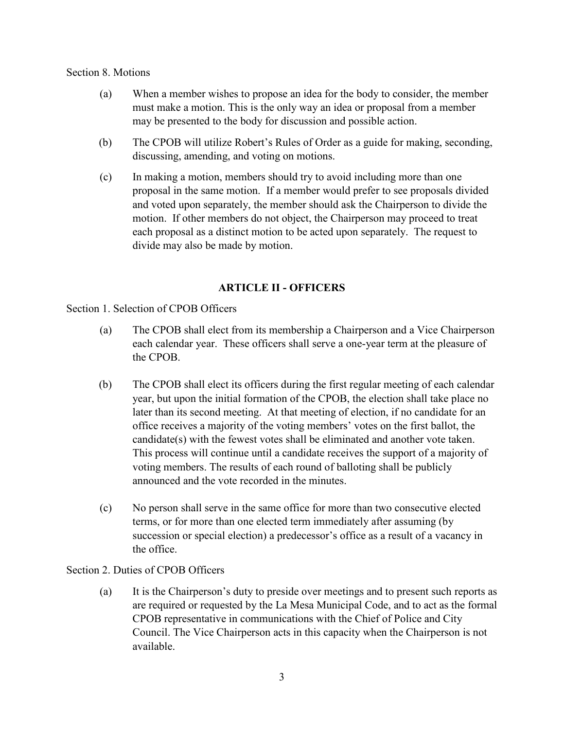#### Section 8. Motions

- (a) When a member wishes to propose an idea for the body to consider, the member must make a motion. This is the only way an idea or proposal from a member may be presented to the body for discussion and possible action.
- (b) The CPOB will utilize Robert's Rules of Order as a guide for making, seconding, discussing, amending, and voting on motions.
- (c) In making a motion, members should try to avoid including more than one proposal in the same motion. If a member would prefer to see proposals divided and voted upon separately, the member should ask the Chairperson to divide the motion. If other members do not object, the Chairperson may proceed to treat each proposal as a distinct motion to be acted upon separately. The request to divide may also be made by motion.

## **ARTICLE II - OFFICERS**

Section 1. Selection of CPOB Officers

- (a) The CPOB shall elect from its membership a Chairperson and a Vice Chairperson each calendar year. These officers shall serve a one-year term at the pleasure of the CPOB.
- (b) The CPOB shall elect its officers during the first regular meeting of each calendar year, but upon the initial formation of the CPOB, the election shall take place no later than its second meeting. At that meeting of election, if no candidate for an office receives a majority of the voting members' votes on the first ballot, the candidate(s) with the fewest votes shall be eliminated and another vote taken. This process will continue until a candidate receives the support of a majority of voting members. The results of each round of balloting shall be publicly announced and the vote recorded in the minutes.
- (c) No person shall serve in the same office for more than two consecutive elected terms, or for more than one elected term immediately after assuming (by succession or special election) a predecessor's office as a result of a vacancy in the office.

### Section 2. Duties of CPOB Officers

(a) It is the Chairperson's duty to preside over meetings and to present such reports as are required or requested by the La Mesa Municipal Code, and to act as the formal CPOB representative in communications with the Chief of Police and City Council. The Vice Chairperson acts in this capacity when the Chairperson is not available.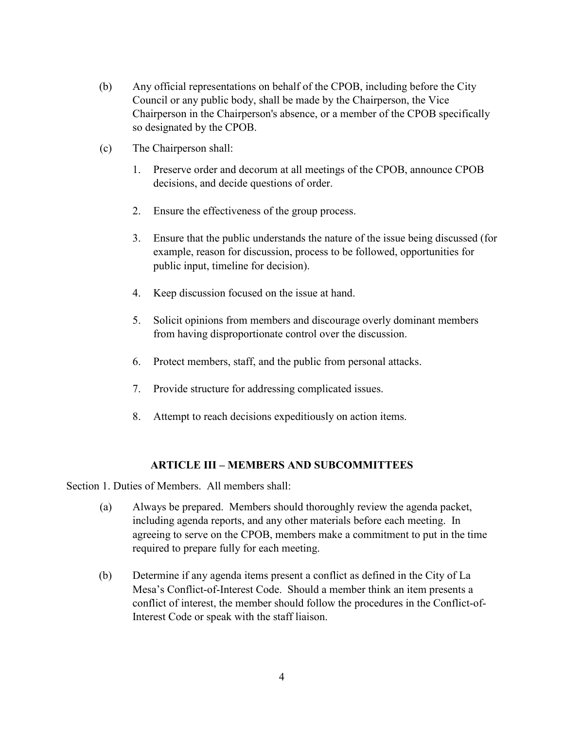- (b) Any official representations on behalf of the CPOB, including before the City Council or any public body, shall be made by the Chairperson, the Vice Chairperson in the Chairperson's absence, or a member of the CPOB specifically so designated by the CPOB.
- (c) The Chairperson shall:
	- 1. Preserve order and decorum at all meetings of the CPOB, announce CPOB decisions, and decide questions of order.
	- 2. Ensure the effectiveness of the group process.
	- 3. Ensure that the public understands the nature of the issue being discussed (for example, reason for discussion, process to be followed, opportunities for public input, timeline for decision).
	- 4. Keep discussion focused on the issue at hand.
	- 5. Solicit opinions from members and discourage overly dominant members from having disproportionate control over the discussion.
	- 6. Protect members, staff, and the public from personal attacks.
	- 7. Provide structure for addressing complicated issues.
	- 8. Attempt to reach decisions expeditiously on action items.

### **ARTICLE III – MEMBERS AND SUBCOMMITTEES**

Section 1. Duties of Members. All members shall:

- (a) Always be prepared. Members should thoroughly review the agenda packet, including agenda reports, and any other materials before each meeting. In agreeing to serve on the CPOB, members make a commitment to put in the time required to prepare fully for each meeting.
- (b) Determine if any agenda items present a conflict as defined in the City of La Mesa's Conflict-of-Interest Code. Should a member think an item presents a conflict of interest, the member should follow the procedures in the Conflict-of-Interest Code or speak with the staff liaison.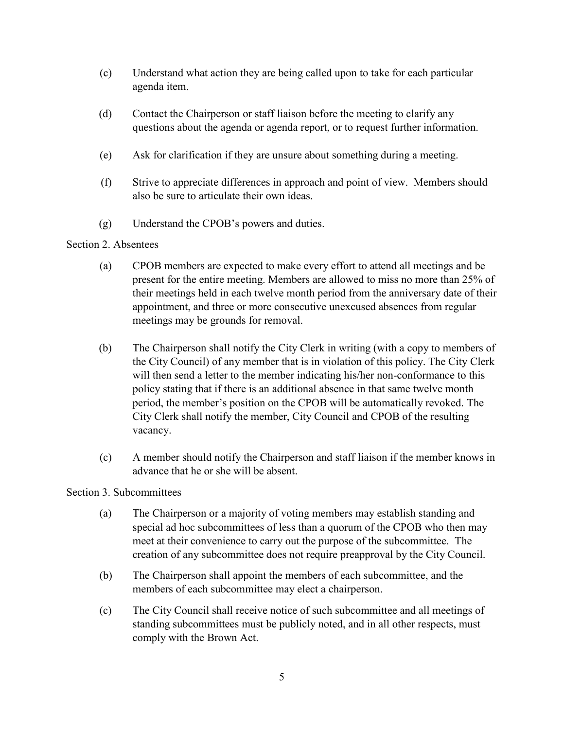- (c) Understand what action they are being called upon to take for each particular agenda item.
- (d) Contact the Chairperson or staff liaison before the meeting to clarify any questions about the agenda or agenda report, or to request further information.
- (e) Ask for clarification if they are unsure about something during a meeting.
- (f) Strive to appreciate differences in approach and point of view. Members should also be sure to articulate their own ideas.
- (g) Understand the CPOB's powers and duties.

## Section 2. Absentees

- (a) CPOB members are expected to make every effort to attend all meetings and be present for the entire meeting. Members are allowed to miss no more than 25% of their meetings held in each twelve month period from the anniversary date of their appointment, and three or more consecutive unexcused absences from regular meetings may be grounds for removal.
- (b) The Chairperson shall notify the City Clerk in writing (with a copy to members of the City Council) of any member that is in violation of this policy. The City Clerk will then send a letter to the member indicating his/her non-conformance to this policy stating that if there is an additional absence in that same twelve month period, the member's position on the CPOB will be automatically revoked. The City Clerk shall notify the member, City Council and CPOB of the resulting vacancy.
- (c) A member should notify the Chairperson and staff liaison if the member knows in advance that he or she will be absent.

## Section 3. Subcommittees

- (a) The Chairperson or a majority of voting members may establish standing and special ad hoc subcommittees of less than a quorum of the CPOB who then may meet at their convenience to carry out the purpose of the subcommittee. The creation of any subcommittee does not require preapproval by the City Council.
- (b) The Chairperson shall appoint the members of each subcommittee, and the members of each subcommittee may elect a chairperson.
- (c) The City Council shall receive notice of such subcommittee and all meetings of standing subcommittees must be publicly noted, and in all other respects, must comply with the Brown Act.